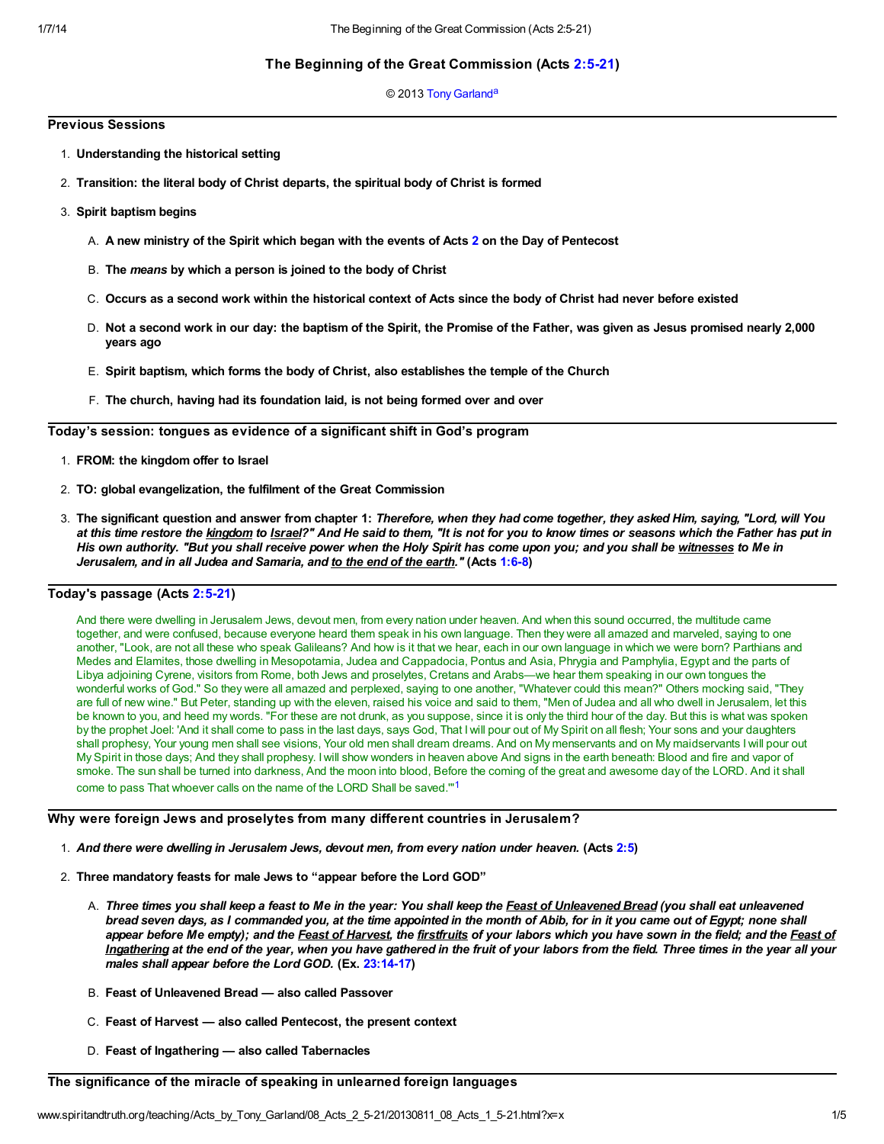# The Beginning of the Great Commission (Acts [2:5-21](http://www.spiritandtruth.org/bibles/nasb/b44c002.htm#Acts_C2V5))

## <span id="page-0-1"></span>© 2013 [Tony Garland](http://www.spiritandtruth.org/id/tg.htm)<sup>[a](#page-4-0)</sup>

## Previous Sessions

- 1. Understanding the historical setting
- 2. Transition: the literal body of Christ departs, the spiritual body of Christ is formed
- 3. Spirit baptism begins
	- A. A new ministry of the Spirit which began with the events of Acts [2](http://www.spiritandtruth.org/bibles/nasb/b44c002.htm#Acts_C2V1) on the Day of Pentecost
	- B. The means by which a person is joined to the body of Christ
	- C. Occurs as a second work within the historical context of Acts since the body of Christ had never before existed
	- D. Not a second work in our day: the baptism of the Spirit, the Promise of the Father, was given as Jesus promised nearly 2,000 years ago
	- E. Spirit baptism, which forms the body of Christ, also establishes the temple of the Church
	- F. The church, having had its foundation laid, is not being formed over and over

Today's session: tongues as evidence of a significant shift in God's program

- 1. FROM: the kingdom offer to Israel
- 2. TO: global evangelization, the fulfilment of the Great Commission
- 3. The significant question and answer from chapter 1: Therefore, when they had come together, they asked Him, saying, "Lord, will You at this time restore the kingdom to Israel?" And He said to them, "It is not for you to know times or seasons which the Father has put in His own authority. "But you shall receive power when the Holy Spirit has come upon you; and you shall be witnesses to Me in Jerusalem, and in all Judea and Samaria, and to the end of the earth." (Acts [1:6-8](http://www.spiritandtruth.org/bibles/nasb/b44c001.htm#Acts_C1V6))

# Today's passage (Acts [2:5-21](http://www.spiritandtruth.org/bibles/nasb/b44c002.htm#Acts_C2V5))

And there were dwelling in Jerusalem Jews, devout men, from every nation under heaven. And when this sound occurred, the multitude came together, and were confused, because everyone heard them speak in his own language. Then they were all amazed and marveled, saying to one another, "Look, are not all these who speak Galileans? And how is it that we hear, each in our own language in which we were born? Parthians and Medes and Elamites, those dwelling in Mesopotamia, Judea and Cappadocia, Pontus and Asia, Phrygia and Pamphylia, Egypt and the parts of Libya adjoining Cyrene, visitors from Rome, both Jews and proselytes, Cretans and Arabs—we hear them speaking in our own tongues the wonderful works of God." So they were all amazed and perplexed, saying to one another, "Whatever could this mean?" Others mocking said, "They are full of new wine." But Peter, standing up with the eleven, raised his voice and said to them, "Men of Judea and all who dwell in Jerusalem, let this be known to you, and heed my words. "For these are not drunk, as you suppose, since it is only the third hour of the day. But this is what was spoken by the prophet Joel: 'And it shall come to pass in the last days, says God, That I will pour out of My Spirit on all flesh; Your sons and your daughters shall prophesy, Your young men shall see visions, Your old men shall dream dreams. And on My menservants and on My maidservants I will pour out My Spirit in those days; And they shall prophesy. I will show wonders in heaven above And signs in the earth beneath: Blood and fire and vapor of smoke. The sun shall be turned into darkness, And the moon into blood, Before the coming of the great and awesome day of the LORD. And it shall come to pass That whoever calls on the name of the LORD Shall be saved."<sup>[1](#page-3-0)</sup>

Why were foreign Jews and proselytes from many different countries in Jerusalem?

- <span id="page-0-0"></span>1. And there were dwelling in Jerusalem Jews, devout men, from every nation under heaven. (Acts [2:5](http://www.spiritandtruth.org/bibles/nasb/b44c002.htm#Acts_C2V5))
- 2. Three mandatory feasts for male Jews to "appear before the Lord GOD"
	- A. Three times you shall keep a feast to Me in the year: You shall keep the Feast of Unleavened Bread (you shall eat unleavened bread seven days, as I commanded you, at the time appointed in the month of Abib, for in it you came out of Egypt; none shall appear before Me empty); and the Feast of Harvest, the firstfruits of your labors which you have sown in the field; and the Feast of Ingathering at the end of the year, when you have gathered in the fruit of your labors from the field. Three times in the year all your males shall appear before the Lord GOD. (Ex. [23:14-17\)](http://www.spiritandtruth.org/bibles/nasb/b02c023.htm#Ex._C23V14)
	- B. Feast of Unleavened Bread also called Passover
	- C. Feast of Harvest also called Pentecost, the present context
	- D. Feast of Ingathering also called Tabernacles

# The significance of the miracle of speaking in unlearned foreign languages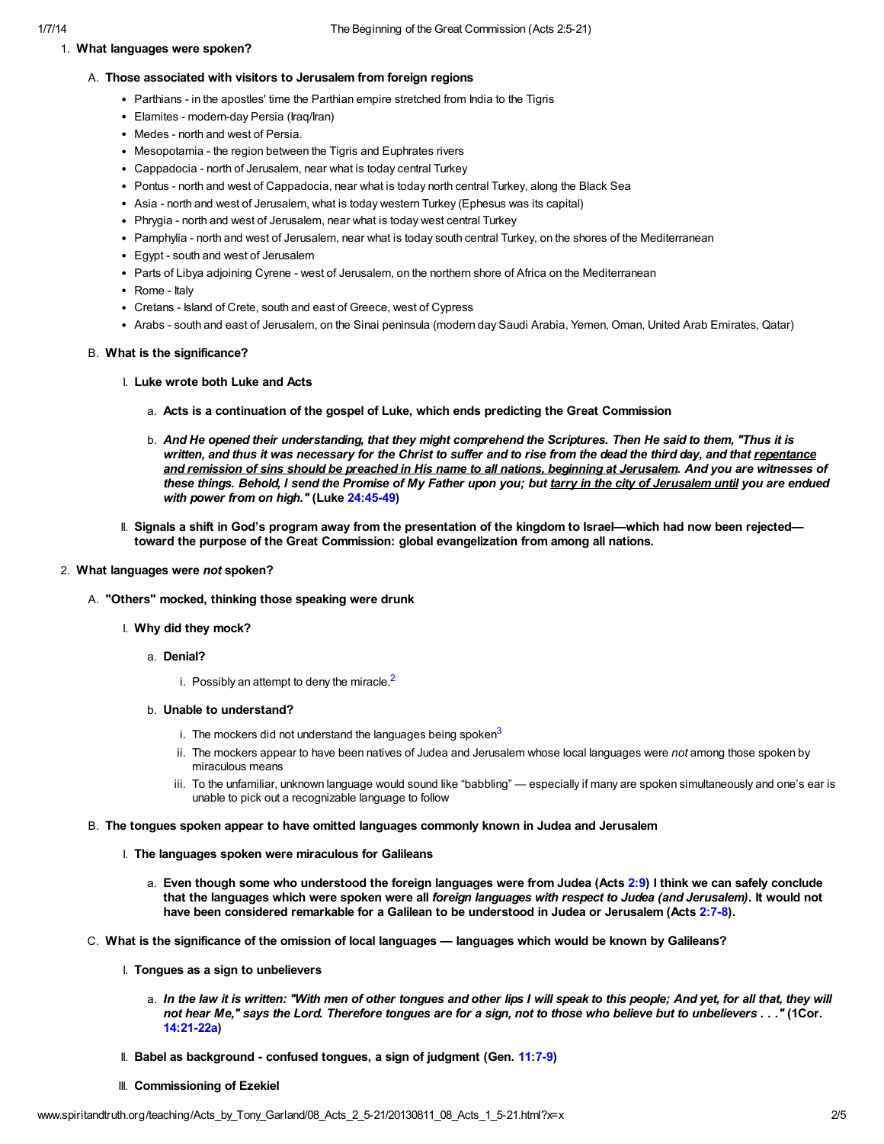### 1. What languages were spoken?

#### A. Those associated with visitors to Jerusalem from foreign regions

- Parthians in the apostles' time the Parthian empire stretched from India to the Tigris
- Elamites modern-day Persia (Iraq/Iran)
- Medes north and west of Persia.
- Mesopotamia the region between the Tigris and Euphrates rivers
- Cappadocia north of Jerusalem, near what is today central Turkey
- Pontus north and west of Cappadocia, near what is today north central Turkey, along the Black Sea
- Asia north and west of Jerusalem, what is today western Turkey (Ephesus was its capital)
- Phrygia north and west of Jerusalem, near what is today west central Turkey
- Pamphylia north and west of Jerusalem, near what is today south central Turkey, on the shores of the Mediterranean
- Egypt south and west of Jerusalem
- Parts of Libya adjoining Cyrene west of Jerusalem, on the northern shore of Africa on the Mediterranean
- Rome Italv
- Cretans Island of Crete, south and east of Greece, west of Cypress
- Arabs south and east of Jerusalem, on the Sinai peninsula (modern day Saudi Arabia, Yemen, Oman, United Arab Emirates, Qatar)

#### B. What is the significance?

- I. Luke wrote both Luke and Acts
	- a. Acts is a continuation of the gospel of Luke, which ends predicting the Great Commission
	- b. And He opened their understanding, that they might comprehend the Scriptures. Then He said to them, "Thus it is written, and thus it was necessary for the Christ to suffer and to rise from the dead the third day, and that repentance and remission of sins should be preached in His name to all nations, beginning at Jerusalem. And you are witnesses of these things. Behold, I send the Promise of My Father upon you; but tarry in the city of Jerusalem until you are endued with power from on high." (Luke [24:45-49\)](http://www.spiritandtruth.org/bibles/nasb/b42c024.htm#Luke_C24V45)
- <span id="page-1-0"></span>II. Signals a shift in God's program away from the presentation of the kingdom to Israel—which had now been rejected toward the purpose of the Great Commission: global evangelization from among all nations.

### 2. What languages were not spoken?

- A. "Others" mocked, thinking those speaking were drunk
	- I. Why did they mock?
		- a. Denial?
			- i. Possibly an attempt to deny the miracle  $2$
		- b. Unable to understand?
			- i. The mockers did not understand the languages being spoken $3$
			- ii. The mockers appear to have been natives of Judea and Jerusalem whose local languages were not among those spoken by miraculous means
			- iii. To the unfamiliar, unknown language would sound like "babbling" especially if many are spoken simultaneously and one's ear is unable to pick out a recognizable language to follow
- <span id="page-1-1"></span>B. The tongues spoken appear to have omitted languages commonly known in Judea and Jerusalem
	- I. The languages spoken were miraculous for Galileans
		- a. Even though some who understood the foreign languages were from Judea (Acts [2:9](http://www.spiritandtruth.org/bibles/nasb/b44c002.htm#Acts_C2V9)) I think we can safely conclude that the languages which were spoken were all foreign languages with respect to Judea (and Jerusalem). It would not have been considered remarkable for a Galilean to be understood in Judea or Jerusalem (Acts [2:7-8](http://www.spiritandtruth.org/bibles/nasb/b44c002.htm#Acts_C2V7)).
- C. What is the significance of the omission of local languages languages which would be known by Galileans?
	- I. Tongues as a sign to unbelievers
		- a. In the law it is written: "With men of other tongues and other lips I will speak to this people; And yet, for all that, they will not hear Me," says the Lord. Therefore tongues are for a sign, not to those who believe but to unbelievers . . ." (1Cor. [14:21-22a\)](http://www.spiritandtruth.org/bibles/nasb/b46c014.htm#1Cor._C14V21)
	- II. Babel as background confused tongues, a sign of judgment (Gen. [11:7-9](http://www.spiritandtruth.org/bibles/nasb/b01c011.htm#Gen._C11V7))
	- III. Commissioning of Ezekiel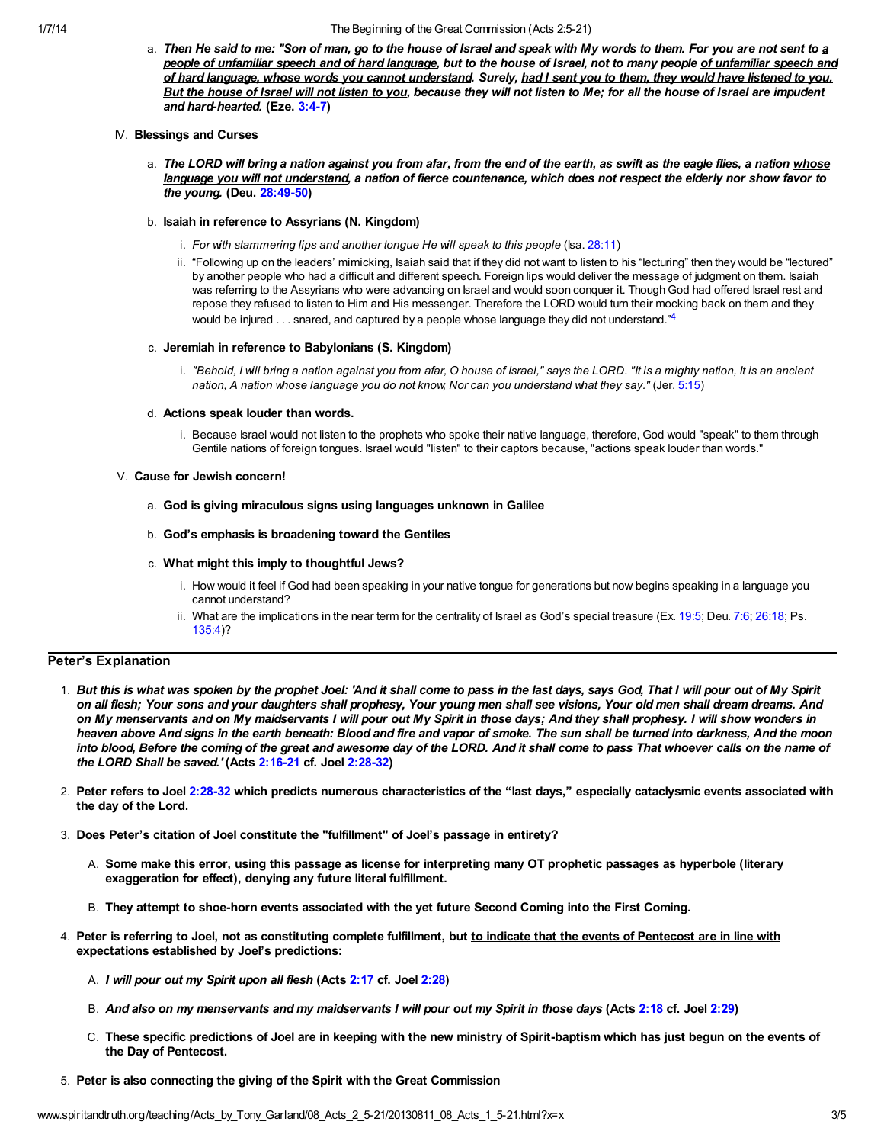#### 1/7/14 The Beginning of the Great Commission (Acts 2:5-21)

- a. Then He said to me: "Son of man, go to the house of Israel and speak with My words to them. For you are not sent to a people of unfamiliar speech and of hard language, but to the house of Israel, not to many people of unfamiliar speech and of hard language, whose words you cannot understand. Surely, had I sent you to them, they would have listened to you. But the house of Israel will not listen to you, because they will not listen to Me; for all the house of Israel are impudent and hard-hearted. (Eze. [3:4-7](http://www.spiritandtruth.org/bibles/nasb/b26c003.htm#Eze._C3V4))
- IV. Blessings and Curses
	- a. The LORD will bring a nation against you from afar, from the end of the earth, as swift as the eagle flies, a nation whose language you will not understand, a nation of fierce countenance, which does not respect the elderly nor show favor to the young. (Deu. [28:49-50](http://www.spiritandtruth.org/bibles/nasb/b05c028.htm#Deu._C28V49))

#### b. Isaiah in reference to Assyrians (N. Kingdom)

- i. For with stammering lips and another tongue He will speak to this people (Isa. [28:11](http://www.spiritandtruth.org/bibles/nasb/b23c028.htm#Isa._C28V11))
- ii. "Following up on the leaders' mimicking, Isaiah said that if they did not want to listen to his "lecturing" then they would be "lectured" by another people who had a difficult and different speech. Foreign lips would deliver the message of judgment on them. Isaiah was referring to the Assyrians who were advancing on Israel and would soon conquer it. Though God had offered Israel rest and repose they refused to listen to Him and His messenger. Therefore the LORD would turn their mocking back on them and they would be injured . . . snared, and captured by a people whose language they did not understand."<sup>[4](#page-3-3)</sup>

#### c. Jeremiah in reference to Babylonians (S. Kingdom)

<span id="page-2-0"></span>i. "Behold, I will bring a nation against you from afar, O house of Israel," says the LORD. "It is a mighty nation, It is an ancient nation, A nation whose language you do not know, Nor can you understand what they say." (Jer. [5:15](http://www.spiritandtruth.org/bibles/nasb/b24c005.htm#Jer._C5V15))

#### d. Actions speak louder than words.

i. Because Israel would not listen to the prophets who spoke their native language, therefore, God would "speak" to them through Gentile nations of foreign tongues. Israel would "listen" to their captors because, "actions speak louder than words."

#### V. Cause for Jewish concern!

a. God is giving miraculous signs using languages unknown in Galilee

### b. God's emphasis is broadening toward the Gentiles

#### c. What might this imply to thoughtful Jews?

- i. How would it feel if God had been speaking in your native tongue for generations but now begins speaking in a language you cannot understand?
- ii. What are the implications in the near term for the centrality of Israel as God's special treasure (Ex. [19:5;](http://www.spiritandtruth.org/bibles/nasb/b02c019.htm#Ex._C19V5) Deu. [7:6](http://www.spiritandtruth.org/bibles/nasb/b05c007.htm#Deu._C7V6); [26:18](http://www.spiritandtruth.org/bibles/nasb/b05c026.htm#Deu._C26V18); Ps. [135:4](http://www.spiritandtruth.org/bibles/nasb/b19c135.htm#Ps._C135V4))?

## Peter's Explanation

- 1. But this is what was spoken by the prophet Joel: 'And it shall come to pass in the last days, says God, That I will pour out of My Spirit on all flesh; Your sons and your daughters shall prophesy, Your young men shall see visions, Your old men shall dream dreams. And on My menservants and on My maidservants I will pour out My Spirit in those days; And they shall prophesy. I will show wonders in heaven above And signs in the earth beneath: Blood and fire and vapor of smoke. The sun shall be turned into darkness, And the moon into blood, Before the coming of the great and awesome day of the LORD. And it shall come to pass That whoever calls on the name of the LORD Shall be saved.' (Acts [2:16-21](http://www.spiritandtruth.org/bibles/nasb/b44c002.htm#Acts_C2V16) cf. Joel [2:28-32](http://www.spiritandtruth.org/bibles/nasb/b29c002.htm#Joel_C2V28))
- 2. Peter refers to Joel [2:28-32](http://www.spiritandtruth.org/bibles/nasb/b29c002.htm#Joel_C2V28) which predicts numerous characteristics of the "last days," especially cataclysmic events associated with the day of the Lord.
- 3. Does Peter's citation of Joel constitute the "fulfillment" of Joel's passage in entirety?
	- A. Some make this error, using this passage as license for interpreting many OT prophetic passages as hyperbole (literary exaggeration for effect), denying any future literal fulfillment.
	- B. They attempt to shoe-horn events associated with the yet future Second Coming into the First Coming.
- 4. Peter is referring to Joel, not as constituting complete fulfillment, but to indicate that the events of Pentecost are in line with expectations established by Joel's predictions:
	- A. I will pour out my Spirit upon all flesh (Acts [2:17](http://www.spiritandtruth.org/bibles/nasb/b44c002.htm#Acts_C2V17) cf. Joel [2:28\)](http://www.spiritandtruth.org/bibles/nasb/b29c002.htm#Joel_C2V28)
	- B. And also on my menservants and my maidservants I will pour out my Spirit in those days (Acts [2:18](http://www.spiritandtruth.org/bibles/nasb/b44c002.htm#Acts_C2V18) cf. Joel [2:29\)](http://www.spiritandtruth.org/bibles/nasb/b29c002.htm#Joel_C2V29)
	- C. These specific predictions of Joel are in keeping with the new ministry of Spirit-baptism which has just begun on the events of the Day of Pentecost.
- 5. Peter is also connecting the giving of the Spirit with the Great Commission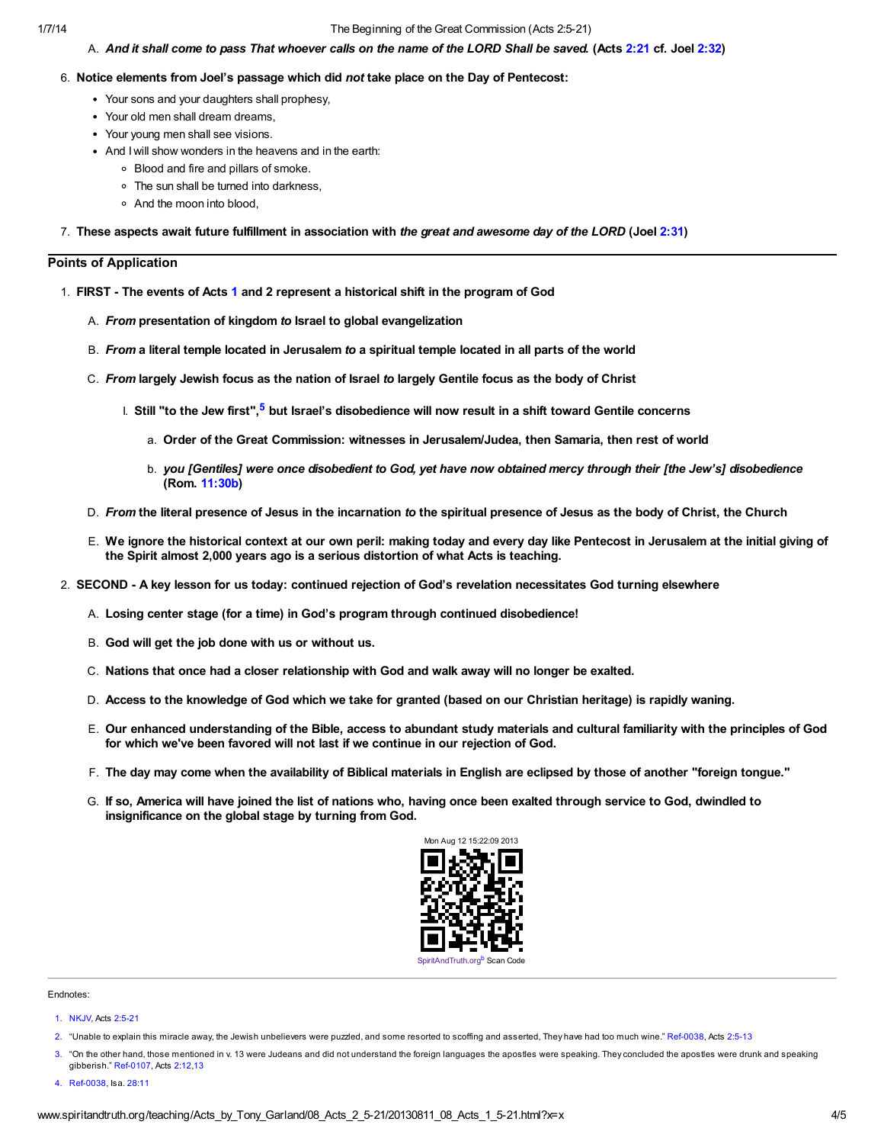#### 1/7/14 The Beginning of the Great Commission (Acts 2:5-21)

#### A. And it shall come to pass That whoever calls on the name of the LORD Shall be saved. (Acts [2:21](http://www.spiritandtruth.org/bibles/nasb/b44c002.htm#Acts_C2V21) cf. Joel [2:32\)](http://www.spiritandtruth.org/bibles/nasb/b29c002.htm#Joel_C2V32)

#### 6. Notice elements from Joel's passage which did not take place on the Day of Pentecost:

- Your sons and your daughters shall prophesy,
- Your old men shall dream dreams,
- Your young men shall see visions.
- And I will show wonders in the heavens and in the earth:
	- Blood and fire and pillars of smoke.
	- The sun shall be turned into darkness,
	- And the moon into blood,

7. These aspects await future fulfillment in association with the great and awesome day of the LORD (Joel [2:31\)](http://www.spiritandtruth.org/bibles/nasb/b29c002.htm#Joel_C2V31)

#### Points of Application

- <span id="page-3-4"></span>1. FIRST - The events of Acts [1](http://www.spiritandtruth.org/bibles/nasb/b44c001.htm#Acts_C1V1) and 2 represent a historical shift in the program of God
	- A. From presentation of kingdom to Israel to global evangelization
	- B. From a literal temple located in Jerusalem to a spiritual temple located in all parts of the world
	- C. From largely Jewish focus as the nation of Israel to largely Gentile focus as the body of Christ
		- **Ⅰ. Still "to the Jew first",<sup>[5](#page-4-1)</sup> but Israel's disobedience will now result in a shift toward Gentile concerns** 
			- a. Order of the Great Commission: witnesses in Jerusalem/Judea, then Samaria, then rest of world
			- b. you [Gentiles] were once disobedient to God, yet have now obtained mercy through their [the Jew's] disobedience (Rom. [11:30b](http://www.spiritandtruth.org/bibles/nasb/b45c011.htm#Rom._C11V30))
	- D. From the literal presence of Jesus in the incarnation to the spiritual presence of Jesus as the body of Christ, the Church
	- E. We ignore the historical context at our own peril: making today and every day like Pentecost in Jerusalem at the initial giving of the Spirit almost 2,000 years ago is a serious distortion of what Acts is teaching.
- 2. SECOND A key lesson for us today: continued rejection of God's revelation necessitates God turning elsewhere
	- A. Losing center stage (for a time) in God's program through continued disobedience!
	- B. God will get the job done with us or without us.
	- C. Nations that once had a closer relationship with God and walk away will no longer be exalted.
	- D. Access to the knowledge of God which we take for granted (based on our Christian heritage) is rapidly waning.
	- E. Our enhanced understanding of the Bible, access to abundant study materials and cultural familiarity with the principles of God for which we've been favored will not last if we continue in our rejection of God.
	- F. The day may come when the availability of Biblical materials in English are eclipsed by those of another "foreign tongue."
	- G. If so, America will have joined the list of nations who, having once been exalted through service to God, dwindled to insignificance on the global stage by turning from God.

<span id="page-3-5"></span>

#### Endnotes:

- <span id="page-3-1"></span>[2.](#page-1-0) "Unable to explain this miracle away, the Jewish unbelievers were puzzled, and some resorted to scoffing and asserted, They have had too much wine." Ref-0038, Acts [2:5-13](http://www.spiritandtruth.org/bibles/nasb/b44c002.htm#Acts_C2V5)
- <span id="page-3-2"></span>"On the other hand, those mentioned in v. 13 were Judeans and did not understand the foreign languages the apostles were speaking. They concluded the apostles were drunk and speaking gibberish." Ref-0107, Acts [2:12](http://www.spiritandtruth.org/bibles/nasb/b44c002.htm#Acts_C2V12)[,13](http://www.spiritandtruth.org/bibles/nasb/b44c002.htm#Acts_C2V13)
- <span id="page-3-3"></span>[4.](#page-2-0) Ref-0038, Isa. [28:11](http://www.spiritandtruth.org/bibles/nasb/b23c028.htm#Isa._C28V11)

<span id="page-3-0"></span>[<sup>1.</sup>](#page-0-0) NKJV, Acts [2:5-21](http://www.spiritandtruth.org/bibles/nasb/b44c002.htm#Acts_C2V5)